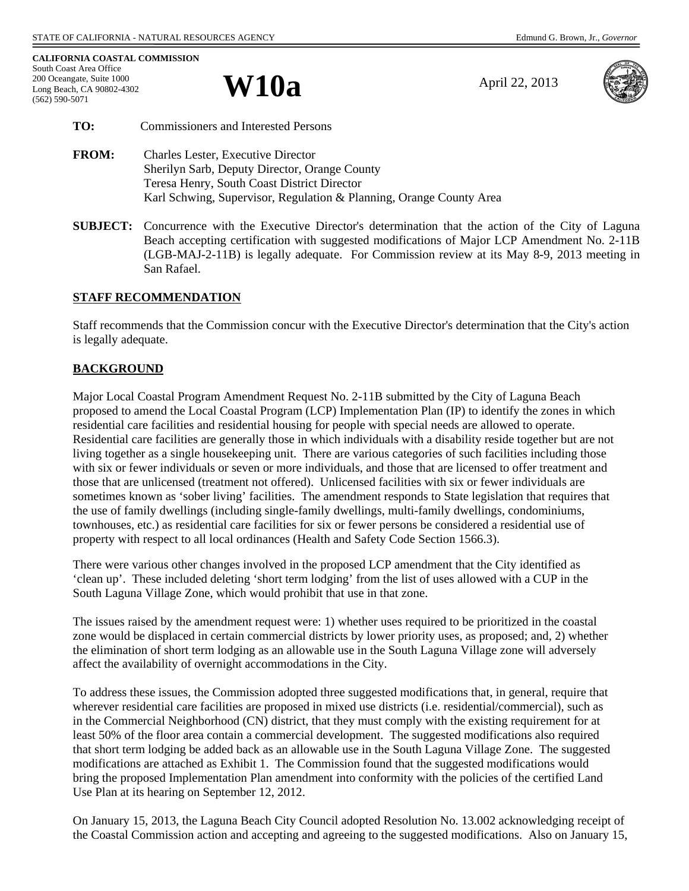**W10a** April 22, 2013



| TO:          | <b>Commissioners and Interested Persons</b>                                                |
|--------------|--------------------------------------------------------------------------------------------|
| <b>FROM:</b> | <b>Charles Lester, Executive Director</b><br>Sherilyn Sarh, Deputy Director, Orange County |

 Sherilyn Sarb, Deputy Director, Orange County Teresa Henry, South Coast District Director Karl Schwing, Supervisor, Regulation & Planning, Orange County Area

**SUBJECT:** Concurrence with the Executive Director's determination that the action of the City of Laguna Beach accepting certification with suggested modifications of Major LCP Amendment No. 2-11B (LGB-MAJ-2-11B) is legally adequate. For Commission review at its May 8-9, 2013 meeting in San Rafael.

## **STAFF RECOMMENDATION**

Staff recommends that the Commission concur with the Executive Director's determination that the City's action is legally adequate.

## **BACKGROUND**

Major Local Coastal Program Amendment Request No. 2-11B submitted by the City of Laguna Beach proposed to amend the Local Coastal Program (LCP) Implementation Plan (IP) to identify the zones in which residential care facilities and residential housing for people with special needs are allowed to operate. Residential care facilities are generally those in which individuals with a disability reside together but are not living together as a single housekeeping unit. There are various categories of such facilities including those with six or fewer individuals or seven or more individuals, and those that are licensed to offer treatment and those that are unlicensed (treatment not offered). Unlicensed facilities with six or fewer individuals are sometimes known as 'sober living' facilities. The amendment responds to State legislation that requires that the use of family dwellings (including single-family dwellings, multi-family dwellings, condominiums, townhouses, etc.) as residential care facilities for six or fewer persons be considered a residential use of property with respect to all local ordinances (Health and Safety Code Section 1566.3).

There were various other changes involved in the proposed LCP amendment that the City identified as 'clean up'. These included deleting 'short term lodging' from the list of uses allowed with a CUP in the South Laguna Village Zone, which would prohibit that use in that zone.

The issues raised by the amendment request were: 1) whether uses required to be prioritized in the coastal zone would be displaced in certain commercial districts by lower priority uses, as proposed; and, 2) whether the elimination of short term lodging as an allowable use in the South Laguna Village zone will adversely affect the availability of overnight accommodations in the City.

To address these issues, the Commission adopted three suggested modifications that, in general, require that wherever residential care facilities are proposed in mixed use districts (i.e. residential/commercial), such as in the Commercial Neighborhood (CN) district, that they must comply with the existing requirement for at least 50% of the floor area contain a commercial development. The suggested modifications also required that short term lodging be added back as an allowable use in the South Laguna Village Zone. The suggested modifications are attached as Exhibit 1. The Commission found that the suggested modifications would bring the proposed Implementation Plan amendment into conformity with the policies of the certified Land Use Plan at its hearing on September 12, 2012.

On January 15, 2013, the Laguna Beach City Council adopted Resolution No. 13.002 acknowledging receipt of the Coastal Commission action and accepting and agreeing to the suggested modifications. Also on January 15,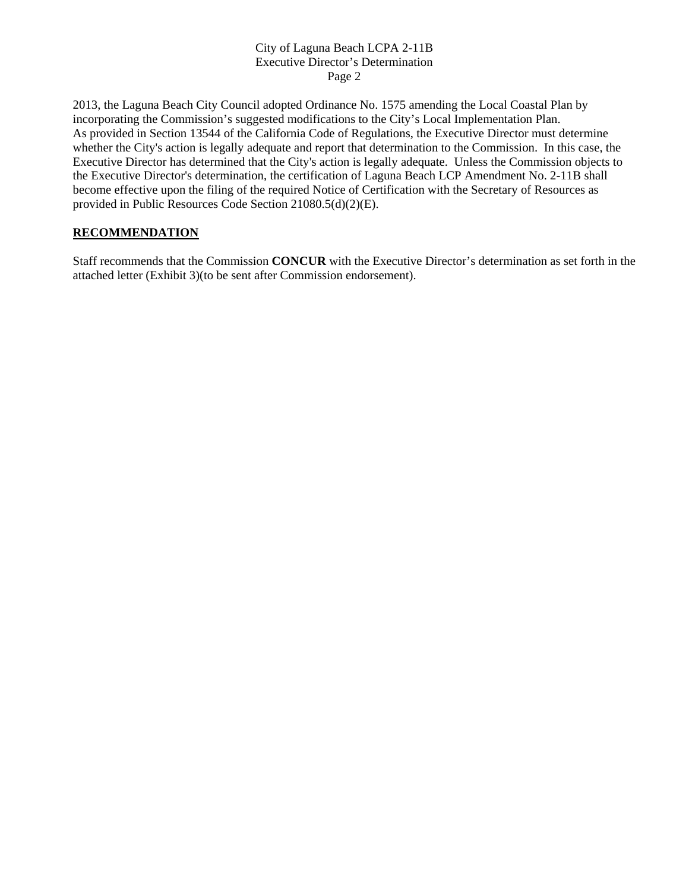### City of Laguna Beach LCPA 2-11B Executive Director's Determination Page 2

2013, the Laguna Beach City Council adopted Ordinance No. 1575 amending the Local Coastal Plan by incorporating the Commission's suggested modifications to the City's Local Implementation Plan. As provided in Section 13544 of the California Code of Regulations, the Executive Director must determine whether the City's action is legally adequate and report that determination to the Commission. In this case, the Executive Director has determined that the City's action is legally adequate. Unless the Commission objects to the Executive Director's determination, the certification of Laguna Beach LCP Amendment No. 2-11B shall become effective upon the filing of the required Notice of Certification with the Secretary of Resources as provided in Public Resources Code Section 21080.5(d)(2)(E).

## **RECOMMENDATION**

Staff recommends that the Commission **CONCUR** with the Executive Director's determination as set forth in the attached letter (Exhibit 3)(to be sent after Commission endorsement).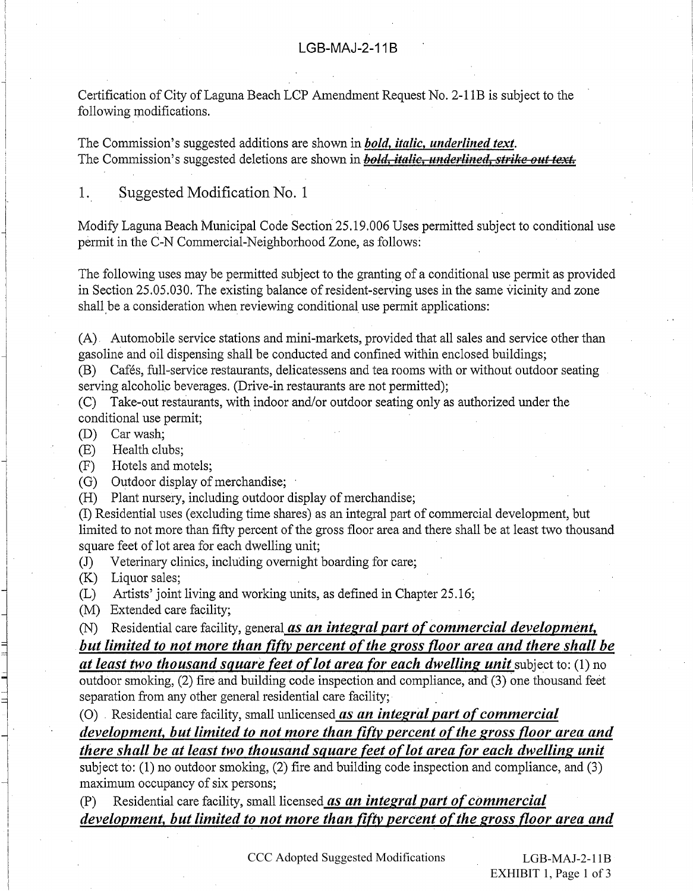Certification of City of Laguna Beach LCP Amendment Request No. 2-11B is subject to the following modifications.

The Commission's suggested additions are shown in *bold, italic, underlined text*. The Commission's suggested deletions are shown in *bold*, *italic*, *underlined*, *strike out text*.

#### Suggested Modification No. 1 1.

Modify Laguna Beach Municipal Code Section 25.19.006 Uses permitted subject to conditional use permit in the C-N Commercial-Neighborhood Zone, as follows:

The following uses may be permitted subject to the granting of a conditional use permit as provided in Section 25,05,030. The existing balance of resident-serving uses in the same vicinity and zone shall be a consideration when reviewing conditional use permit applications:

(A) Automobile service stations and mini-markets, provided that all sales and service other than gasoline and oil dispensing shall be conducted and confined within enclosed buildings;

(B) Cafés, full-service restaurants, delicatessens and tea rooms with or without outdoor seating serving alcoholic beverages. (Drive-in restaurants are not permitted);

(C) Take-out restaurants, with indoor and/or outdoor seating only as authorized under the conditional use permit;

(D) Car wash:

(E) Health clubs:

Hotels and motels:  $(F)$ 

(G) Outdoor display of merchandise;

(H) Plant nursery, including outdoor display of merchandise;

(I) Residential uses (excluding time shares) as an integral part of commercial development, but limited to not more than fifty percent of the gross floor area and there shall be at least two thousand square feet of lot area for each dwelling unit;

Veterinary clinics, including overnight boarding for care:  $(J)$ 

(K) Liquor sales;

(L) Artists' joint living and working units, as defined in Chapter 25.16;

(M) Extended care facility;

(N) Residential care facility, general as an integral part of commercial development,

but limited to not more than fifty percent of the gross floor area and there shall be

at least two thousand square feet of lot area for each dwelling unit subject to: (1) no outdoor smoking, (2) fire and building code inspection and compliance, and (3) one thousand feet separation from any other general residential care facility;

(O) Residential care facility, small unlicensed as an integral part of commercial

development, but limited to not more than fifty percent of the gross floor area and there shall be at least two thousand square feet of lot area for each dwelling unit

subject to: (1) no outdoor smoking, (2) fire and building code inspection and compliance, and (3) maximum occupancy of six persons;

Residential care facility, small licensed as an integral part of commercial  $(P)$ development, but limited to not more than fifty percent of the gross floor area and

CCC Adopted Suggested Modifications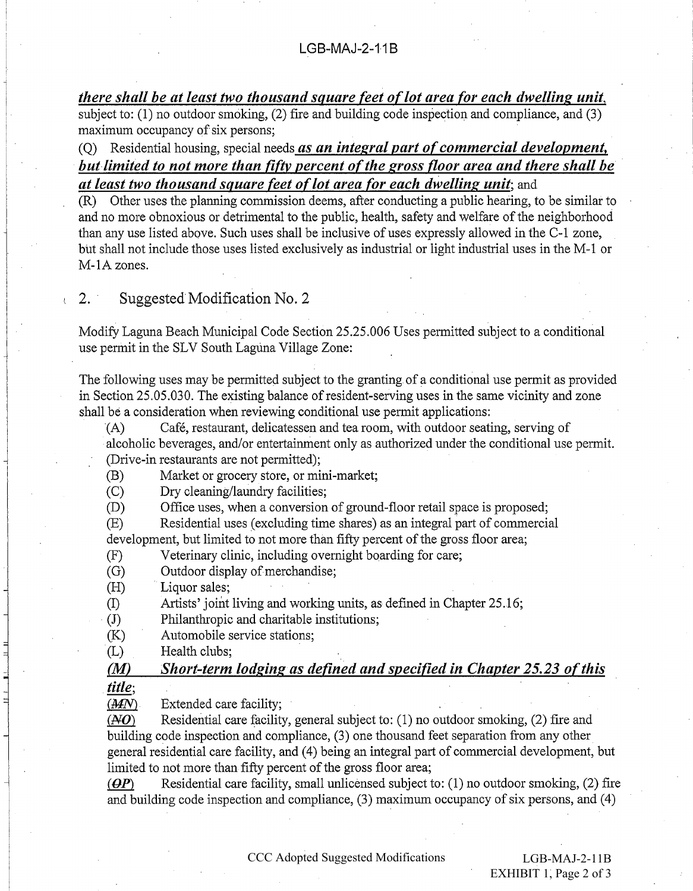there shall be at least two thousand square feet of lot area for each dwelling unit, subject to:  $(1)$  no outdoor smoking,  $(2)$  fire and building code inspection and compliance, and  $(3)$ maximum occupancy of six persons;

(Q) Residential housing, special needs as an integral part of commercial development, but limited to not more than fifty percent of the gross floor area and there shall be at least two thousand square feet of lot area for each dwelling unit; and

(R) Other uses the planning commission deems, after conducting a public hearing, to be similar to and no more obnoxious or detrimental to the public, health, safety and welfare of the neighborhood than any use listed above. Such uses shall be inclusive of uses expressly allowed in the C-1 zone, but shall not include those uses listed exclusively as industrial or light industrial uses in the M-1 or M-1A zones.

Suggested Modification No. 2  $\sim$  2.

 $\mathbf{r}$ 

Modify Laguna Beach Municipal Code Section 25.25.006 Uses permitted subject to a conditional use permit in the SLV South Laguna Village Zone:

The following uses may be permitted subject to the granting of a conditional use permit as provided in Section 25.05.030. The existing balance of resident-serving uses in the same vicinity and zone shall be a consideration when reviewing conditional use permit applications:

 $(A)$ Café, restaurant, delicatessen and tea room, with outdoor seating, serving of alcoholic beverages, and/or entertainment only as authorized under the conditional use permit. (Drive-in restaurants are not permitted);

Market or grocery store, or mini-market;  $(B)$ 

 $(C)$ Dry cleaning/laundry facilities;

Office uses, when a conversion of ground-floor retail space is proposed;  $(D)$ 

Residential uses (excluding time shares) as an integral part of commercial  $(E)$ development, but limited to not more than fifty percent of the gross floor area;

 $(F)$ Veterinary clinic, including overnight boarding for care;

Outdoor display of merchandise;  $(G)$ 

Liquor sales;  $(H)$ 

Artists' joint living and working units, as defined in Chapter 25.16;  $(I)$ 

Philanthropic and charitable institutions;  $(J)$ 

 $(K)$ Automobile service stations;

Health clubs:  $(L)$ 

Short-term lodging as defined and specified in Chapter 25.23 of this  $(M)$ 

title;

 $(AAN)$ Extended care facility:

Residential care facility, general subject to: (1) no outdoor smoking, (2) fire and  $(\overline{A}O)$ building code inspection and compliance, (3) one thousand feet separation from any other general residential care facility, and (4) being an integral part of commercial development, but limited to not more than fifty percent of the gross floor area;

 $\left(\boldsymbol{\theta}\boldsymbol{P}\right)$ Residential care facility, small unlicensed subject to: (1) no outdoor smoking, (2) fire and building code inspection and compliance, (3) maximum occupancy of six persons, and (4)

CCC Adopted Suggested Modifications

 $LGB-MAJ-2-11B$ EXHIBIT 1, Page 2 of 3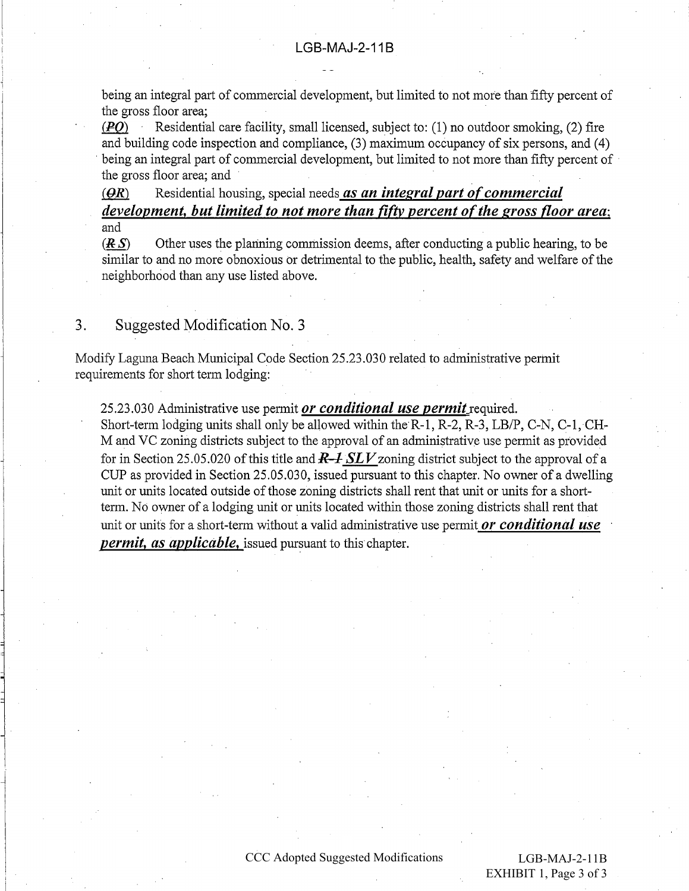being an integral part of commercial development, but limited to not more than fifty percent of the gross floor area:

 $(PO)$ Residential care facility, small licensed, subject to: (1) no outdoor smoking, (2) fire and building code inspection and compliance, (3) maximum occupancy of six persons, and (4) being an integral part of commercial development, but limited to not more than fifty percent of the gross floor area; and

Residential housing, special needs as an integral part of commercial  $(\Theta R)$ development, but limited to not more than fifty percent of the gross floor area; and

Other uses the planning commission deems, after conducting a public hearing, to be  $(RS)$ similar to and no more obnoxious or detrimental to the public, health, safety and welfare of the neighborhood than any use listed above.

3. Suggested Modification No. 3

Modify Laguna Beach Municipal Code Section 25.23.030 related to administrative permit requirements for short term lodging:

25.23.030 Administrative use permit or conditional use permit required. Short-term lodging units shall only be allowed within the R-1, R-2, R-3, LB/P, C-N, C-1, CH-M and VC zoning districts subject to the approval of an administrative use permit as provided for in Section 25.05.020 of this title and  $R\rightarrow SLV$  zoning district subject to the approval of a CUP as provided in Section 25.05.030, issued pursuant to this chapter. No owner of a dwelling unit or units located outside of those zoning districts shall rent that unit or units for a shortterm. No owner of a lodging unit or units located within those zoning districts shall rent that unit or units for a short-term without a valid administrative use permit or conditional use *permit, as applicable,* issued pursuant to this chapter.

#### CCC Adopted Suggested Modifications

 $LGB-MAJ-2-11B$ EXHIBIT 1, Page 3 of 3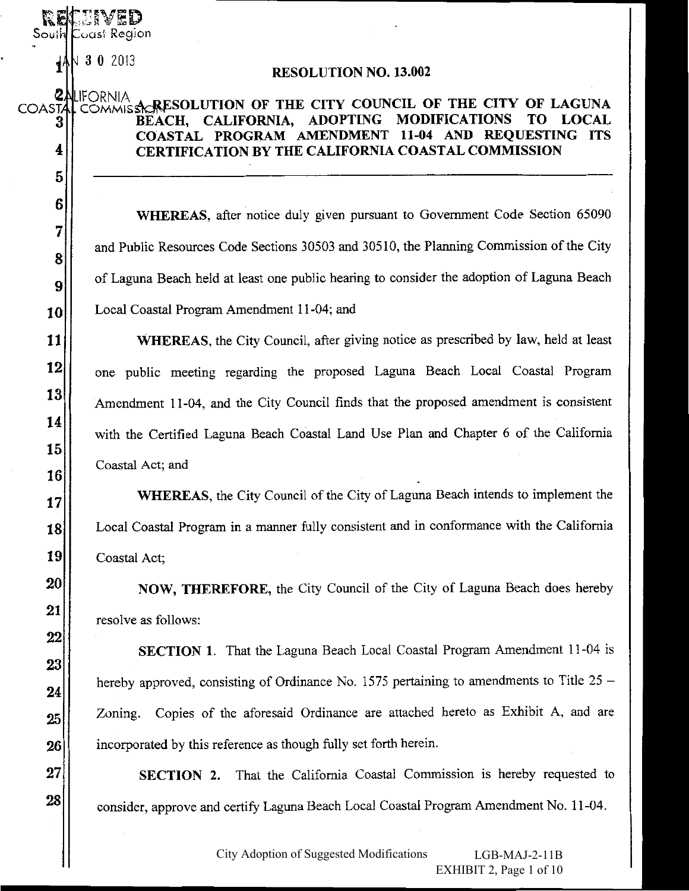$\sqrt{3}$  0 2013

South Coast Region

### **RESOLUTION NO. 13.002**

#### **ZALIFORNIA** COMMISSIONES OLUTION OF THE CITY COUNCIL OF THE CITY OF LAGUNA **COASTA** BEACH, CALIFORNIA, ADOPTING **MODIFICATIONS** TO LOCAL 3 COASTAL PROGRAM AMENDMENT 11-04 AND REQUESTING ITS 4 **CERTIFICATION BY THE CALIFORNIA COASTAL COMMISSION**

WHEREAS, after notice duly given pursuant to Government Code Section 65090 and Public Resources Code Sections 30503 and 30510, the Planning Commission of the City of Laguna Beach held at least one public hearing to consider the adoption of Laguna Beach Local Coastal Program Amendment 11-04; and

**WHEREAS**, the City Council, after giving notice as prescribed by law, held at least one public meeting regarding the proposed Laguna Beach Local Coastal Program Amendment 11-04, and the City Council finds that the proposed amendment is consistent with the Certified Laguna Beach Coastal Land Use Plan and Chapter 6 of the California Coastal Act; and

**WHEREAS, the City Council of the City of Laguna Beach intends to implement the** Local Coastal Program in a manner fully consistent and in conformance with the California Coastal Act;

**NOW, THEREFORE, the City Council of the City of Laguna Beach does hereby** resolve as follows:

**SECTION 1.** That the Laguna Beach Local Coastal Program Amendment 11-04 is hereby approved, consisting of Ordinance No. 1575 pertaining to amendments to Title  $25$  – Zoning. Copies of the aforesaid Ordinance are attached hereto as Exhibit A, and are incorporated by this reference as though fully set forth herein.

**SECTION 2.** That the California Coastal Commission is hereby requested to consider, approve and certify Laguna Beach Local Coastal Program Amendment No. 11-04.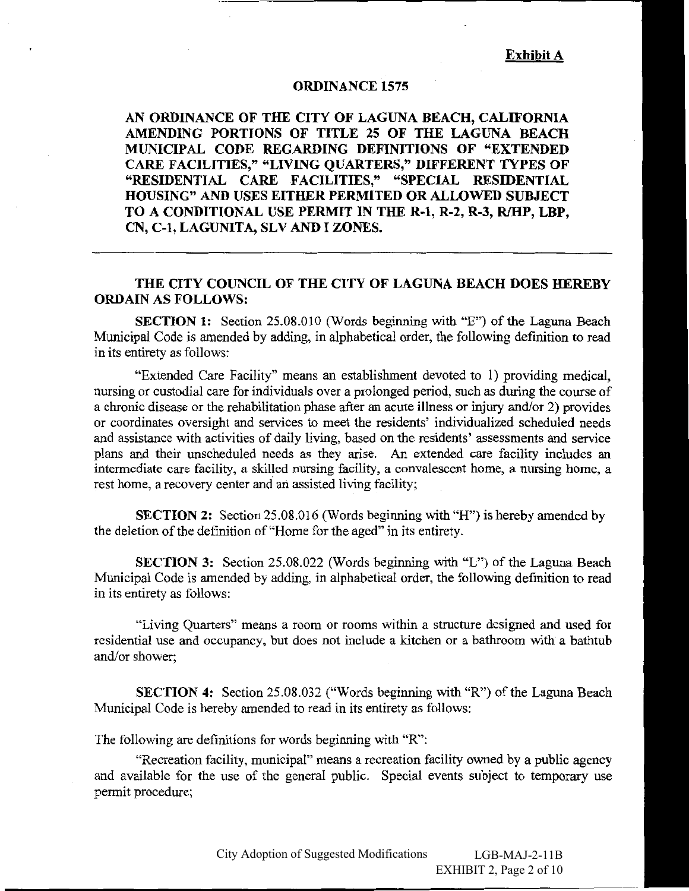### **ORDINANCE 1575**

AN ORDINANCE OF THE CITY OF LAGUNA BEACH, CALIFORNIA AMENDING PORTIONS OF TITLE 25 OF THE LAGUNA BEACH MUNICIPAL CODE REGARDING DEFINITIONS OF "EXTENDED CARE FACILITIES," "LIVING QUARTERS," DIFFERENT TYPES OF "RESIDENTIAL CARE FACILITIES," "SPECIAL RESIDENTIAL HOUSING" AND USES EITHER PERMITED OR ALLOWED SUBJECT TO A CONDITIONAL USE PERMIT IN THE R-1, R-2, R-3, R/HP, LBP, CN, C-1, LAGUNITA, SLV AND I ZONES.

# THE CITY COUNCIL OF THE CITY OF LAGUNA BEACH DOES HEREBY **ORDAIN AS FOLLOWS:**

**SECTION 1:** Section 25.08.010 (Words beginning with "E") of the Laguna Beach Municipal Code is amended by adding, in alphabetical order, the following definition to read in its entirety as follows:

"Extended Care Facility" means an establishment devoted to 1) providing medical, nursing or custodial care for individuals over a prolonged period, such as during the course of a chronic disease or the rehabilitation phase after an acute illness or injury and/or 2) provides or coordinates oversight and services to meet the residents' individualized scheduled needs and assistance with activities of daily living, based on the residents' assessments and service plans and their unscheduled needs as they arise. An extended care facility includes an intermediate care facility, a skilled nursing facility, a convalescent home, a nursing home, a rest home, a recovery center and an assisted living facility;

**SECTION 2:** Section 25.08.016 (Words beginning with "H") is hereby amended by the deletion of the definition of "Home for the aged" in its entirety.

**SECTION 3:** Section 25.08.022 (Words beginning with "L") of the Laguna Beach Municipal Code is amended by adding, in alphabetical order, the following definition to read in its entirety as follows:

"Living Quarters" means a room or rooms within a structure designed and used for residential use and occupancy, but does not include a kitchen or a bathroom with a bathtub and/or shower:

SECTION 4: Section 25.08.032 ("Words beginning with "R") of the Laguna Beach Municipal Code is hereby amended to read in its entirety as follows:

The following are definitions for words beginning with "R":

"Recreation facility, municipal" means a recreation facility owned by a public agency and available for the use of the general public. Special events subject to temporary use permit procedure;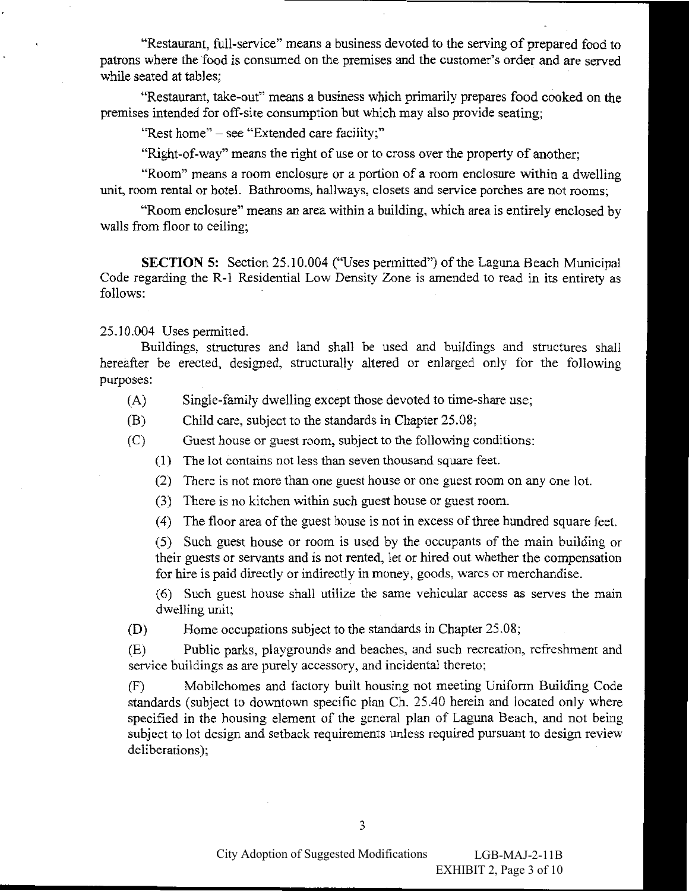"Restaurant, full-service" means a business devoted to the serving of prepared food to patrons where the food is consumed on the premises and the customer's order and are served while seated at tables:

"Restaurant, take-out" means a business which primarily prepares food cooked on the premises intended for off-site consumption but which may also provide seating;

"Rest home" - see "Extended care facility:"

"Right-of-way" means the right of use or to cross over the property of another;

"Room" means a room enclosure or a portion of a room enclosure within a dwelling unit, room rental or hotel. Bathrooms, hallways, closets and service porches are not rooms;

"Room enclosure" means an area within a building, which area is entirely enclosed by walls from floor to ceiling;

**SECTION 5:** Section 25.10.004 ("Uses permitted") of the Laguna Beach Municipal Code regarding the R-1 Residential Low Density Zone is amended to read in its entirety as follows:

25.10.004 Uses permitted.

Buildings, structures and land shall be used and buildings and structures shall hereafter be erected, designed, structurally altered or enlarged only for the following purposes:

- Single-family dwelling except those devoted to time-share use;  $(A)$
- Child care, subject to the standards in Chapter 25.08; (B)
- $(C)$ Guest house or guest room, subject to the following conditions:
	- (1) The lot contains not less than seven thousand square feet.
	- (2) There is not more than one guest house or one guest room on any one lot.
	- (3) There is no kitchen within such guest house or guest room.
	- (4) The floor area of the guest house is not in excess of three hundred square feet.

(5) Such guest house or room is used by the occupants of the main building or their guests or servants and is not rented, let or hired out whether the compensation for hire is paid directly or indirectly in money, goods, wares or merchandise.

(6) Such guest house shall utilize the same vehicular access as serves the main dwelling unit;

 $(D)$ Home occupations subject to the standards in Chapter 25.08;

Public parks, playgrounds and beaches, and such recreation, refreshment and  $(E)$ service buildings as are purely accessory, and incidental thereto;

Mobilehomes and factory built housing not meeting Uniform Building Code  $(F)$ standards (subject to downtown specific plan Ch. 25.40 herein and located only where specified in the housing element of the general plan of Laguna Beach, and not being subject to lot design and setback requirements unless required pursuant to design review deliberations);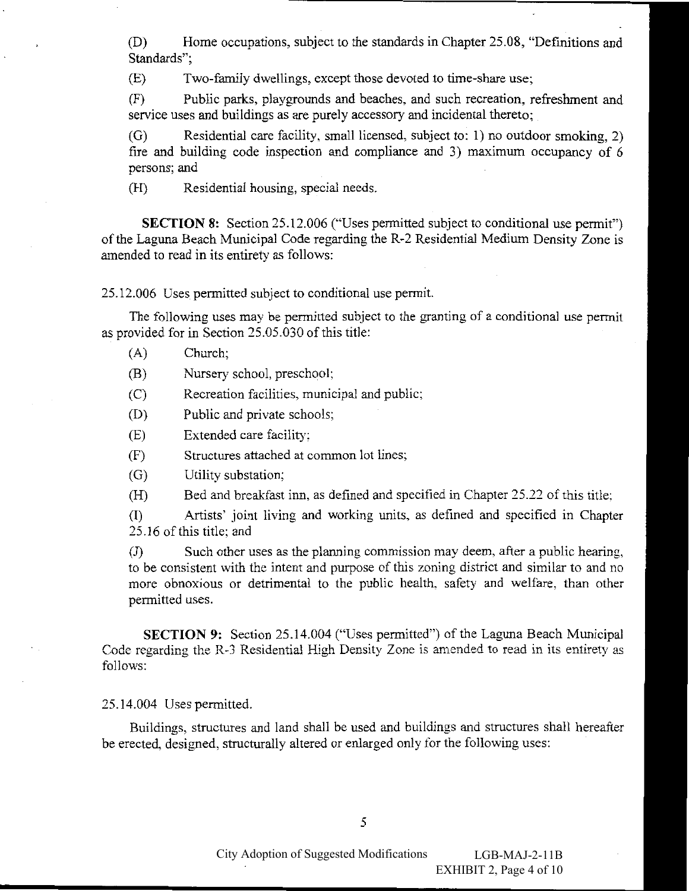Home occupations, subject to the standards in Chapter 25.08, "Definitions and (D) Standards":

Two-family dwellings, except those devoted to time-share use;  $(E)$ 

Public parks, playgrounds and beaches, and such recreation, refreshment and  $(F)$ service uses and buildings as are purely accessory and incidental thereto;

Residential care facility, small licensed, subject to: 1) no outdoor smoking, 2)  $(G)$ fire and building code inspection and compliance and 3) maximum occupancy of 6 persons; and

Residential housing, special needs.  $(H)$ 

**SECTION 8:** Section 25.12.006 ("Uses permitted subject to conditional use permit") of the Laguna Beach Municipal Code regarding the R-2 Residential Medium Density Zone is amended to read in its entirety as follows:

25.12.006 Uses permitted subject to conditional use permit.

The following uses may be permitted subject to the granting of a conditional use permit as provided for in Section 25.05.030 of this title:

- $(A)$ Church;
- (B) Nursery school, preschool;
- Recreation facilities, municipal and public;  $(C)$
- Public and private schools; (D)
- $(E)$ Extended care facility:
- Structures attached at common lot lines;  $(F)$
- Utility substation;  $(G)$
- Bed and breakfast inn, as defined and specified in Chapter 25.22 of this title;  $(H)$

 $(I)$ Artists' joint living and working units, as defined and specified in Chapter 25.16 of this title; and

Such other uses as the planning commission may deem, after a public hearing,  $\left( \mathrm{J}\right)$ to be consistent with the intent and purpose of this zoning district and similar to and no more obnoxious or detrimental to the public health, safety and welfare, than other permitted uses.

**SECTION 9:** Section 25.14.004 ("Uses permitted") of the Laguna Beach Municipal Code regarding the R-3 Residential High Density Zone is amended to read in its entirety as follows:

25.14.004 Uses permitted.

Buildings, structures and land shall be used and buildings and structures shall hereafter be erected, designed, structurally altered or enlarged only for the following uses: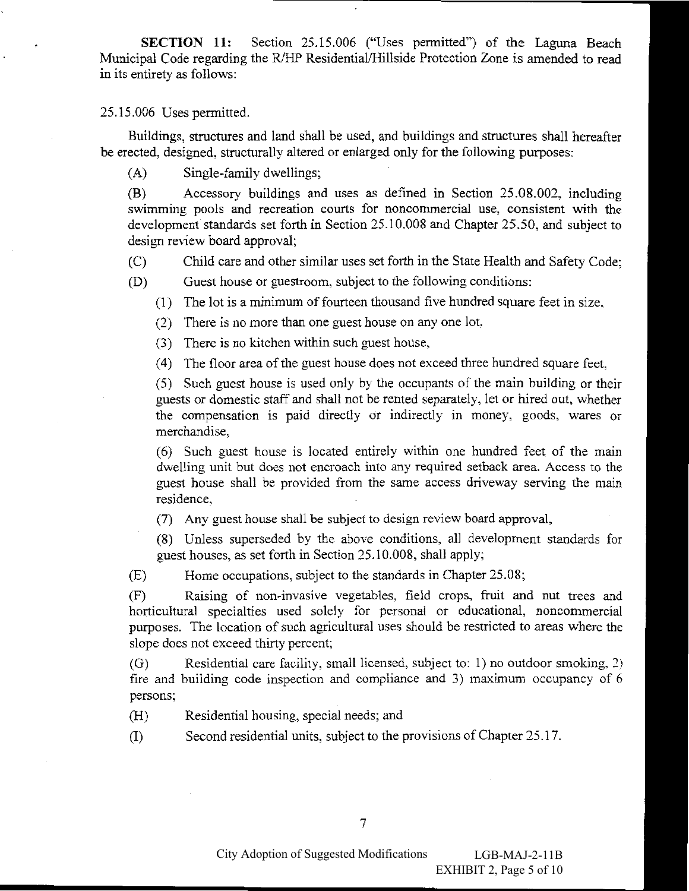Section 25.15.006 ("Uses permitted") of the Laguna Beach **SECTION 11:** Municipal Code regarding the R/HP Residential/Hillside Protection Zone is amended to read in its entirety as follows:

25.15.006 Uses permitted.

Buildings, structures and land shall be used, and buildings and structures shall hereafter be erected, designed, structurally altered or enlarged only for the following purposes:

 $(A)$ Single-family dwellings;

Accessory buildings and uses as defined in Section 25.08.002, including (B) swimming pools and recreation courts for noncommercial use, consistent with the development standards set forth in Section 25.10.008 and Chapter 25.50, and subject to design review board approval;

 $(C)$ Child care and other similar uses set forth in the State Health and Safety Code:

 $(D)$ Guest house or guestroom, subject to the following conditions:

(1) The lot is a minimum of fourteen thousand five hundred square feet in size.

(2) There is no more than one guest house on any one lot,

(3) There is no kitchen within such guest house,

(4) The floor area of the guest house does not exceed three hundred square feet.

(5) Such guest house is used only by the occupants of the main building or their guests or domestic staff and shall not be rented separately, let or hired out, whether the compensation is paid directly or indirectly in money, goods, wares or merchandise,

(6) Such guest house is located entirely within one hundred feet of the main dwelling unit but does not encroach into any required setback area. Access to the guest house shall be provided from the same access driveway serving the main residence,

(7) Any guest house shall be subject to design review board approval,

(8) Unless superseded by the above conditions, all development standards for guest houses, as set forth in Section 25.10.008, shall apply;

 $(E)$ Home occupations, subject to the standards in Chapter 25.08;

 $(F)$ Raising of non-invasive vegetables, field crops, fruit and nut trees and horticultural specialties used solely for personal or educational, noncommercial purposes. The location of such agricultural uses should be restricted to areas where the slope does not exceed thirty percent;

Residential care facility, small licensed, subject to: 1) no outdoor smoking, 2)  $(G)$ fire and building code inspection and compliance and 3) maximum occupancy of 6 persons;

Residential housing, special needs; and  $(H)$ 

Second residential units, subject to the provisions of Chapter 25.17.  $(I)$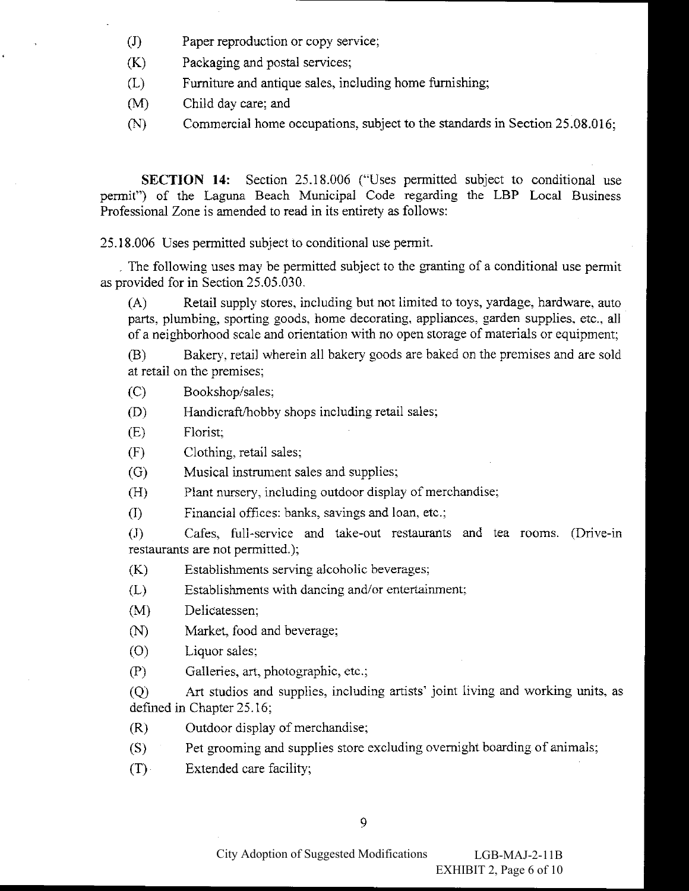- $\left( \mathrm{J}\right)$ Paper reproduction or copy service;
- $(K)$ Packaging and postal services;
- $(L)$ Furniture and antique sales, including home furnishing;
- $(M)$ Child day care; and
- Commercial home occupations, subject to the standards in Section 25,08,016;  $(N)$

**SECTION 14:** Section 25.18.006 ("Uses permitted subject to conditional use permit") of the Laguna Beach Municipal Code regarding the LBP Local Business Professional Zone is amended to read in its entirety as follows:

25.18.006 Uses permitted subject to conditional use permit.

The following uses may be permitted subject to the granting of a conditional use permit as provided for in Section 25.05.030.

Retail supply stores, including but not limited to toys, yardage, hardware, auto  $(A)$ parts, plumbing, sporting goods, home decorating, appliances, garden supplies, etc., all of a neighborhood scale and orientation with no open storage of materials or equipment;

Bakery, retail wherein all bakery goods are baked on the premises and are sold  $(B)$ at retail on the premises;

Bookshop/sales;  $(C)$ 

- Handicraft/hobby shops including retail sales;  $(D)$
- $(E)$ Florist;
- $(F)$ Clothing, retail sales;
- Musical instrument sales and supplies;  $(G)$
- Plant nursery, including outdoor display of merchandise;  $(H)$
- Financial offices: banks, savings and loan, etc.;  $(I)$

Cafes, full-service and take-out restaurants and tea rooms. (Drive-in  $\left( \mathrm{J}\right)$ restaurants are not permitted.);

 $(K)$ Establishments serving alcoholic beverages;

 $(L)$ Establishments with dancing and/or entertainment;

 $(M)$ Delicatessen:

Market, food and beverage;  $(N)$ 

 $(0)$ Liquor sales;

 $(P)$ Galleries, art, photographic, etc.;

Art studios and supplies, including artists' joint living and working units, as  $(0)$ defined in Chapter 25.16;

Outdoor display of merchandise;  $(R)$ 

Pet grooming and supplies store excluding overnight boarding of animals;  $(S)$ 

 $(T)$ Extended care facility;

City Adoption of Suggested Modifications  $LGB-MAJ-2-11B$ EXHIBIT 2, Page 6 of 10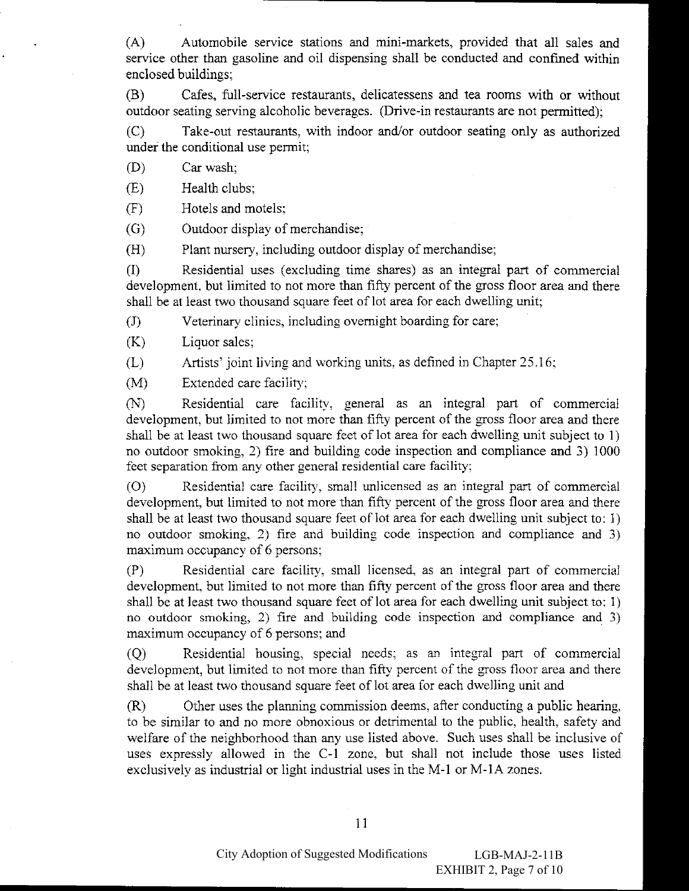$(A)$ Automobile service stations and mini-markets, provided that all sales and service other than gasoline and oil dispensing shall be conducted and confined within enclosed buildings;

(B) Cafes, full-service restaurants, delicatessens and tea rooms with or without outdoor seating serving alcoholic beverages. (Drive-in restaurants are not permitted);

 $(C)$ Take-out restaurants, with indoor and/or outdoor seating only as authorized under the conditional use permit;

 $(D)$ Car wash;

 $(E)$ Health clubs:

 $(F)$ Hotels and motels;

 $(G)$ Outdoor display of merchandise;

 $(H)$ Plant nursery, including outdoor display of merchandise;

Residential uses (excluding time shares) as an integral part of commercial  $(I)$ development, but limited to not more than fifty percent of the gross floor area and there shall be at least two thousand square feet of lot area for each dwelling unit;

 $\left( \mathrm{J}\right)$ Veterinary clinics, including overnight boarding for care;

 $(K)$ Liquor sales;

 $(L)$ Artists' joint living and working units, as defined in Chapter 25.16;

 $(M)$ Extended care facility;

Residential care facility, general as an integral part of commercial  $(N)$ development, but limited to not more than fifty percent of the gross floor area and there shall be at least two thousand square feet of lot area for each dwelling unit subject to 1) no outdoor smoking, 2) fire and building code inspection and compliance and 3) 1000 feet separation from any other general residential care facility;

Residential care facility, small unlicensed as an integral part of commercial  $(0)$ development, but limited to not more than fifty percent of the gross floor area and there shall be at least two thousand square feet of lot area for each dwelling unit subject to: 1) no outdoor smoking, 2) fire and building code inspection and compliance and 3) maximum occupancy of 6 persons;

Residential care facility, small licensed, as an integral part of commercial  $(P)$ development, but limited to not more than fifty percent of the gross floor area and there shall be at least two thousand square feet of lot area for each dwelling unit subject to: 1) no outdoor smoking, 2) fire and building code inspection and compliance and 3) maximum occupancy of 6 persons; and

Residential housing, special needs; as an integral part of commercial  $(Q)$ development, but limited to not more than fifty percent of the gross floor area and there shall be at least two thousand square feet of lot area for each dwelling unit and

Other uses the planning commission deems, after conducting a public hearing,  $(R)$ to be similar to and no more obnoxious or detrimental to the public, health, safety and welfare of the neighborhood than any use listed above. Such uses shall be inclusive of uses expressly allowed in the C-1 zone, but shall not include those uses listed exclusively as industrial or light industrial uses in the M-1 or M-1A zones.

11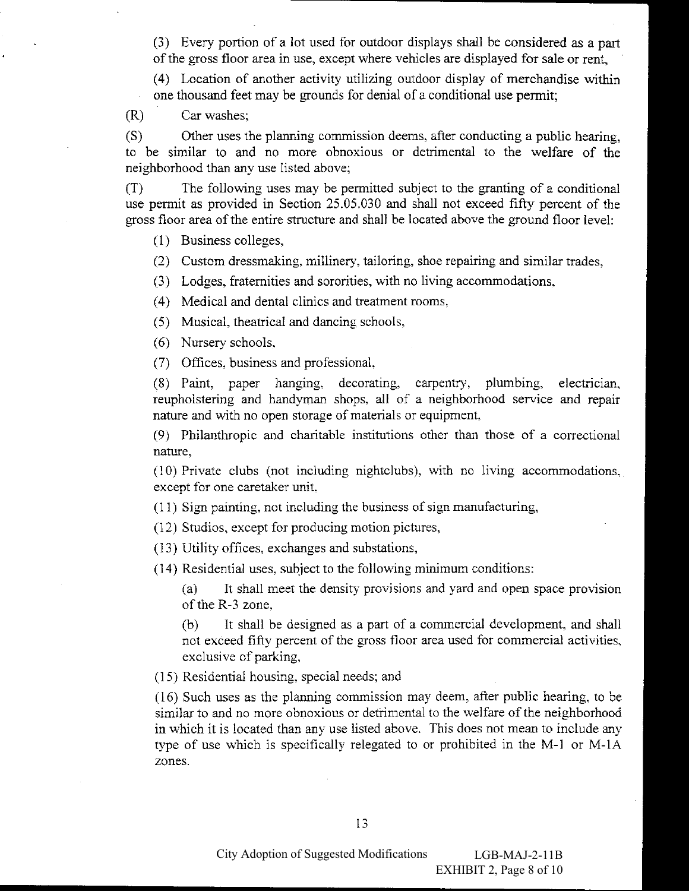(3) Every portion of a lot used for outdoor displays shall be considered as a part of the gross floor area in use, except where vehicles are displayed for sale or rent,

(4) Location of another activity utilizing outdoor display of merchandise within one thousand feet may be grounds for denial of a conditional use permit;

Car washes:  $(R)$ 

 $(S)$ Other uses the planning commission deems, after conducting a public hearing, to be similar to and no more obnoxious or detrimental to the welfare of the neighborhood than any use listed above;

The following uses may be permitted subject to the granting of a conditional  $(T)$ use permit as provided in Section 25.05.030 and shall not exceed fifty percent of the gross floor area of the entire structure and shall be located above the ground floor level:

(1) Business colleges,

(2) Custom dressmaking, millinery, tailoring, shoe repairing and similar trades,

(3) Lodges, fraternities and sororities, with no living accommodations,

(4) Medical and dental clinics and treatment rooms.

(5) Musical, the atrical and dancing schools,

(6) Nursery schools,

(7) Offices, business and professional,

 $(8)$  Paint, paper hanging, decorating, carpentry, plumbing, electrician. reupholstering and handyman shops, all of a neighborhood service and repair nature and with no open storage of materials or equipment,

(9) Philanthropic and charitable institutions other than those of a correctional nature,

(10) Private clubs (not including nightclubs), with no living accommodations, except for one caretaker unit.

(11) Sign painting, not including the business of sign manufacturing,

(12) Studios, except for producing motion pictures,

(13) Utility offices, exchanges and substations,

(14) Residential uses, subject to the following minimum conditions:

It shall meet the density provisions and yard and open space provision  $(a)$ of the R-3 zone,

(b) It shall be designed as a part of a commercial development, and shall not exceed fifty percent of the gross floor area used for commercial activities, exclusive of parking,

(15) Residential housing, special needs; and

(16) Such uses as the planning commission may deem, after public hearing, to be similar to and no more obnoxious or detrimental to the welfare of the neighborhood in which it is located than any use listed above. This does not mean to include any type of use which is specifically relegated to or prohibited in the M-1 or M-1A zones.

13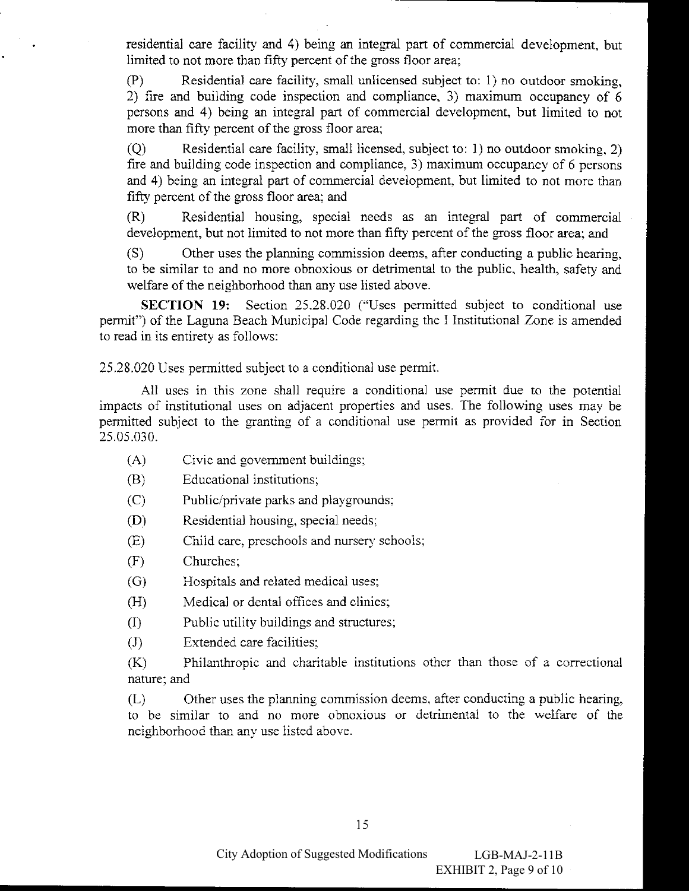residential care facility and 4) being an integral part of commercial development, but limited to not more than fifty percent of the gross floor area;

 $(P)$ Residential care facility, small unlicensed subject to: 1) no outdoor smoking, 2) fire and building code inspection and compliance, 3) maximum occupancy of 6 persons and 4) being an integral part of commercial development, but limited to not more than fifty percent of the gross floor area;

 $\overline{O}$ Residential care facility, small licensed, subject to: 1) no outdoor smoking, 2) fire and building code inspection and compliance, 3) maximum occupancy of 6 persons and 4) being an integral part of commercial development, but limited to not more than fifty percent of the gross floor area; and

Residential housing, special needs as an integral part of commercial  $(R)$ development, but not limited to not more than fifty percent of the gross floor area; and

Other uses the planning commission deems, after conducting a public hearing,  $(S)$ to be similar to and no more obnoxious or detrimental to the public, health, safety and welfare of the neighborhood than any use listed above.

SECTION 19: Section 25.28.020 ("Uses permitted subject to conditional use permit") of the Laguna Beach Municipal Code regarding the I Institutional Zone is amended to read in its entirety as follows:

25.28.020 Uses permitted subject to a conditional use permit.

All uses in this zone shall require a conditional use permit due to the potential impacts of institutional uses on adjacent properties and uses. The following uses may be permitted subject to the granting of a conditional use permit as provided for in Section 25.05.030.

- $(A)$ Civic and government buildings;
- $(B)$ Educational institutions;
- Public/private parks and playgrounds;  $(C)$
- Residential housing, special needs;  $(D)$
- $(E)$ Child care, preschools and nursery schools;
- $(F)$ Churches;
- $(G)$ Hospitals and related medical uses;
- Medical or dental offices and clinics;  $(H)$
- Public utility buildings and structures;  $(I)$
- Extended care facilities:  $(J)$

 $(K)$ Philanthropic and charitable institutions other than those of a correctional nature; and

Other uses the planning commission deems, after conducting a public hearing, (L) to be similar to and no more obnoxious or detrimental to the welfare of the neighborhood than any use listed above.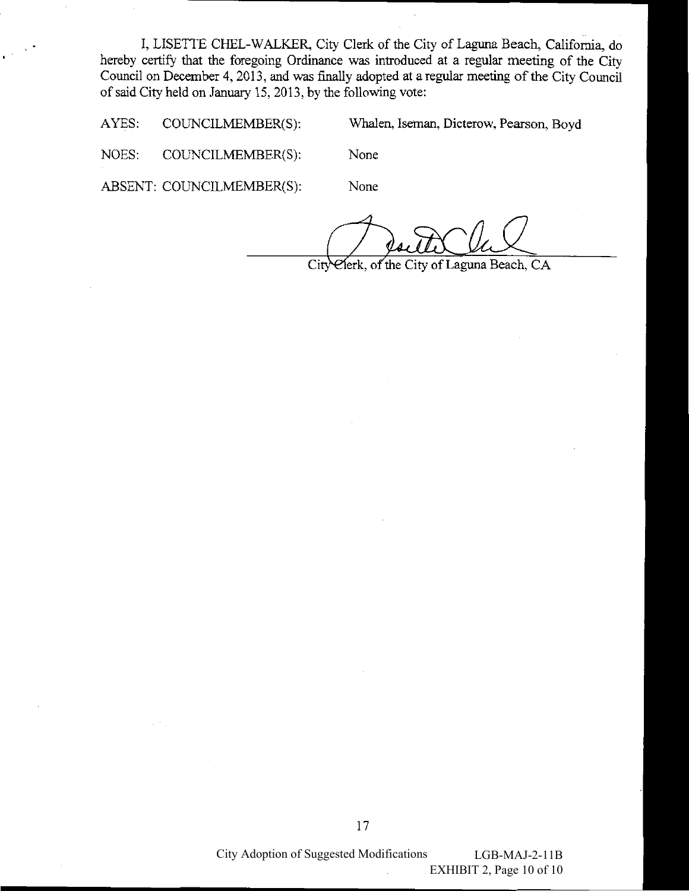I, LISETTE CHEL-WALKER, City Clerk of the City of Laguna Beach, California, do hereby certify that the foregoing Ordinance was introduced at a regular meeting of the City Council on December 4, 2013, and was finally adopted at a regular meeting of the City Council of said City held on January 15, 2013, by the following vote:

AYES: COUNCILMEMBER(S): Whalen, Iseman, Dicterow, Pearson, Boyd

NOES: COUNCILMEMBER(S):

ABSENT: COUNCILMEMBER(S):

None

None

elerk, of the City of Laguna Beach, CA City